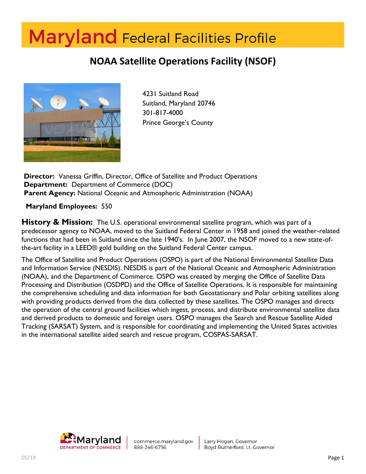# **Maryland** Federal Facilities Profile

# **NOAA Satellite Operations Facility (NSOF)**



4231 Suitland Road Suitland, Maryland 20746 301-817-4000 Prince George's County

**Director:** Vanessa Griffin, Director, Office of Satellite and Product Operations **Department:** Department of Commerce (DOC) **Parent Agency:** National Oceanic and Atmospheric Administration (NOAA)

**Maryland Employees:** 550

**History & Mission:** The U.S. operational environmental satellite program, which was part of a predecessor agency to NOAA, moved to the Suitland Federal Center in 1958 and joined the weather-related functions that had been in Suitland since the late 1940's. In June 2007, the NSOF moved to a new state-ofthe-art facility in a LEED® gold building on the Suitland Federal Center campus.

The Office of Satellite and Product Operations (OSPO) is part of the National Environmental Satellite Data and Information Service (NESDIS). NESDIS is part of the National Oceanic and Atmospheric Administration (NOAA), and the Department of Commerce. OSPO was created by merging the Office of Satellite Data Processing and Distribution (OSDPD) and the Office of Satellite Operations. It is responsible for maintaining the comprehensive scheduling and data information for both Geostationary and Polar orbiting satellites along with providing products derived from the data collected by these satellites. The OSPO manages and directs the operation of the central ground facilities which ingest, process, and distribute environmental satellite data and derived products to domestic and foreign users. OSPO manages the Search and Rescue Satellite Aided Tracking (SARSAT) System, and is responsible for coordinating and implementing the United States activities in the international satellite aided search and rescue program, COSPAS-SARSAT.

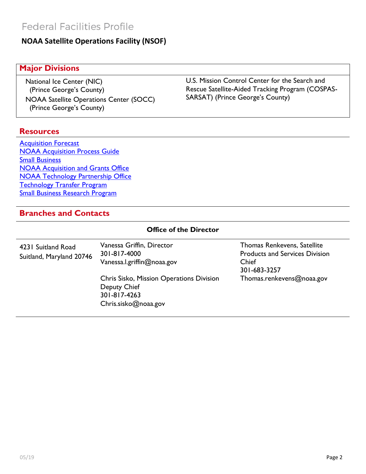#### **NOAA Satellite Operations Facility (NSOF)**

#### **Major Divisions**

National Ice Center (NIC) (Prince George's County) NOAA Satellite Operations Center (SOCC) (Prince George's County)

**Resources**

[Acquisition Forecast](http://www.ago.noaa.gov/acquisition/faaps.html) [NOAA Acquisition Process Guide](https://www.ago.noaa.gov/acquisition/regulation_and_guidance.html) [Small Business](http://www.ago.noaa.gov/acquisition/NOAASmallBusiness/small_business.html) [NOAA Acquisition and Grants Office](http://www.ago.noaa.gov/) [NOAA Technology Partnership Office](http://techpartnerships.noaa.gov/Home.aspx) [Technology Transfer Program](https://techpartnerships.noaa.gov/Portals/10/Documents/Technology-transfer-award%20policy.pdf?ver=2012-12-03-165736-683) [Small Business Research Program](http://techpartnerships.noaa.gov/SBIR.aspx)

#### **Branches and Contacts**

| <b>Office of the Director</b>                  |                                                                                                  |                                                                                               |
|------------------------------------------------|--------------------------------------------------------------------------------------------------|-----------------------------------------------------------------------------------------------|
| 4231 Suitland Road<br>Suitland, Maryland 20746 | Vanessa Griffin, Director<br>301-817-4000<br>Vanessa.l.griffin@noaa.gov                          | Thomas Renkevens, Satellite<br><b>Products and Services Division</b><br>Chief<br>301-683-3257 |
|                                                | Chris Sisko, Mission Operations Division<br>Deputy Chief<br>301-817-4263<br>Chris.sisko@noaa.gov | Thomas.renkevens@noaa.gov                                                                     |

U.S. Mission Control Center for the Search and Rescue Satellite-Aided Tracking Program (COSPAS-SARSAT) (Prince George's County)